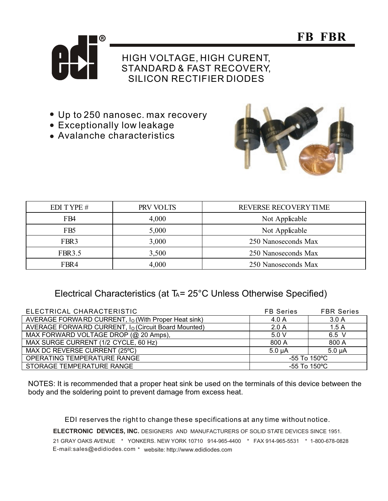



## HIGH VOLTAGE, HIGH CURENT, STANDARD & FAST RECOVERY, SILICON RECTIFIER DIODES

- Up to 250 nanosec. max recovery
- Exceptionally low leakage
- Avalanche characteristics



| EDI TYPE #       | PRV VOLTS | REVERSE RECOVERY TIME |
|------------------|-----------|-----------------------|
| FB4              | 4,000     | Not Applicable        |
| FB <sub>5</sub>  | 5,000     | Not Applicable        |
| FBR <sub>3</sub> | 3,000     | 250 Nanoseconds Max   |
| <b>FBR3.5</b>    | 3,500     | 250 Nanoseconds Max   |
| FBR4             | 4,000     | 250 Nanoseconds Max   |

## Electrical Characteristics (at  $T_A = 25^{\circ}$ C Unless Otherwise Specified)

| ELECTRICAL CHARACTERISTIC                                       | <b>FB</b> Series          | <b>FBR Series</b> |
|-----------------------------------------------------------------|---------------------------|-------------------|
| AVERAGE FORWARD CURRENT, I <sub>O</sub> (With Proper Heat sink) | 4.0A                      | 3.0A              |
| AVERAGE FORWARD CURRENT, I <sub>O</sub> (Circuit Board Mounted) | 2.0A                      | 1.5A              |
| MAX FORWARD VOLTAGE DROP (@ 20 Amps),                           | 5.0V                      | 6.5 V             |
| MAX SURGE CURRENT (1/2 CYCLE, 60 Hz)                            | 800 A                     | 800 A             |
| MAX DC REVERSE CURRENT (25°C)                                   | $5.0 \mu A$               | $5.0 \mu A$       |
| OPERATING TEMPERATURE RANGE                                     | $-55$ To 150 °C           |                   |
| STORAGE TEMPERATURE RANGE                                       | $-55$ To 150 $^{\circ}$ C |                   |

NOTES: It is recommended that a proper heat sink be used on the terminals of this device between the body and the soldering point to prevent damage from excess heat.

21 GRAY OAKS AVENUE \* YONKERS. NEW YORK 10710 914-965-4400 \* FAX 914-965-5531 \* 1-800-678-0828 ELECTRONIC DEVICES, INC. DESIGNERS AND MANUFACTURERS OF SOLID STATE DEVICES SINCE 1951. E-mail:sales@edidiodes.com \* website: http://www.edidiodes.com EDI reserves the right to change these specifications at any time without notice.